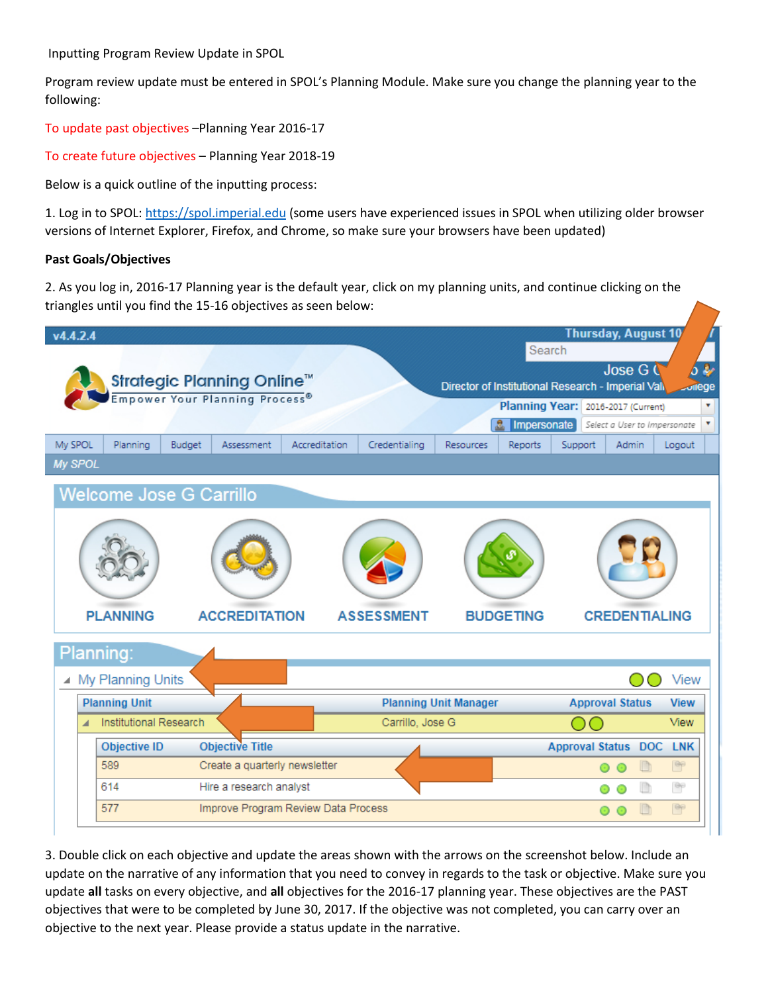Inputting Program Review Update in SPOL

Program review update must be entered in SPOL's Planning Module. Make sure you change the planning year to the following:

To update past objectives –Planning Year 2016-17

To create future objectives – Planning Year 2018-19

Below is a quick outline of the inputting process:

1. Log in to SPOL: [https://spol.imperial.edu](https://spol.imperial.edu/) (some users have experienced issues in SPOL when utilizing older browser versions of Internet Explorer, Firefox, and Chrome, so make sure your browsers have been updated)

## **Past Goals/Objectives**

2. As you log in, 2016-17 Planning year is the default year, click on my planning units, and continue clicking on the triangles until you find the 15-16 objectives as seen below:



3. Double click on each objective and update the areas shown with the arrows on the screenshot below. Include an update on the narrative of any information that you need to convey in regards to the task or objective. Make sure you update **all** tasks on every objective, and **all** objectives for the 2016-17 planning year. These objectives are the PAST objectives that were to be completed by June 30, 2017. If the objective was not completed, you can carry over an objective to the next year. Please provide a status update in the narrative.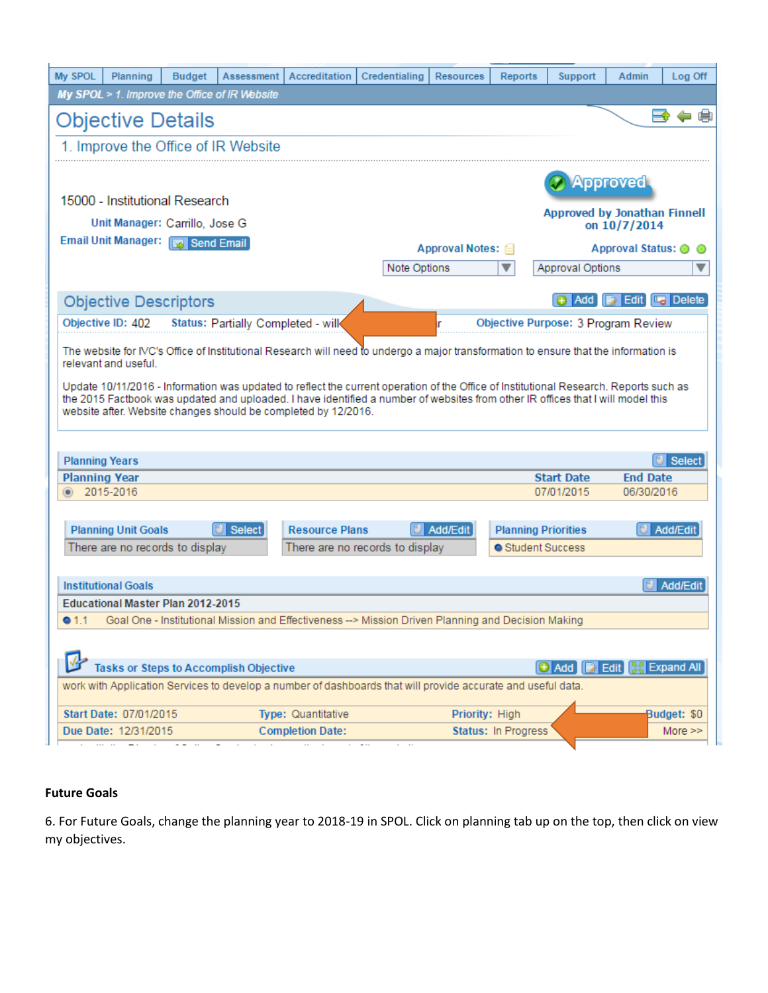| My SPOL               | Planning                                                                                                                                                                                                                                                                                                                                   | <b>Budget</b> | Assessment                                    | Accreditation           | Credentialing                                                                                                                        | <b>Resources</b> | Reports             | <b>Support</b>                      | Admin                          | Log Off     |  |
|-----------------------|--------------------------------------------------------------------------------------------------------------------------------------------------------------------------------------------------------------------------------------------------------------------------------------------------------------------------------------------|---------------|-----------------------------------------------|-------------------------|--------------------------------------------------------------------------------------------------------------------------------------|------------------|---------------------|-------------------------------------|--------------------------------|-------------|--|
|                       |                                                                                                                                                                                                                                                                                                                                            |               | My SPOL > 1. Improve the Office of IR Website |                         |                                                                                                                                      |                  |                     |                                     |                                |             |  |
|                       | e<br>FO<br>$\equiv$<br>Objective Details                                                                                                                                                                                                                                                                                                   |               |                                               |                         |                                                                                                                                      |                  |                     |                                     |                                |             |  |
|                       |                                                                                                                                                                                                                                                                                                                                            |               | 1. Improve the Office of IR Website           |                         |                                                                                                                                      |                  |                     |                                     |                                |             |  |
|                       |                                                                                                                                                                                                                                                                                                                                            |               |                                               |                         |                                                                                                                                      |                  |                     |                                     |                                |             |  |
|                       |                                                                                                                                                                                                                                                                                                                                            |               |                                               |                         |                                                                                                                                      |                  |                     |                                     | Approved                       |             |  |
|                       | 15000 - Institutional Research                                                                                                                                                                                                                                                                                                             |               |                                               |                         |                                                                                                                                      |                  |                     | <b>Approved by Jonathan Finnell</b> |                                |             |  |
|                       | Unit Manager: Carrillo, Jose G                                                                                                                                                                                                                                                                                                             |               |                                               |                         |                                                                                                                                      |                  |                     |                                     | on 10/7/2014                   |             |  |
|                       | <b>Email Unit Manager:</b> Fra Send Email                                                                                                                                                                                                                                                                                                  |               |                                               |                         | Approval Notes: <b>△</b><br>Approval Status: @                                                                                       |                  |                     |                                     |                                | $\odot$     |  |
|                       |                                                                                                                                                                                                                                                                                                                                            |               |                                               |                         | Note Options<br>▼                                                                                                                    |                  |                     |                                     | Approval Options<br>▼          |             |  |
|                       |                                                                                                                                                                                                                                                                                                                                            |               |                                               |                         |                                                                                                                                      |                  |                     |                                     |                                |             |  |
|                       | <b>Objective Descriptors</b>                                                                                                                                                                                                                                                                                                               |               |                                               |                         |                                                                                                                                      |                  |                     | Add                                 | <b>B</b> Edit <b>La</b> Delete |             |  |
|                       | Objective ID: 402                                                                                                                                                                                                                                                                                                                          |               | Status: Partially Completed - wilk            |                         |                                                                                                                                      | r                |                     | Objective Purpose: 3 Program Review |                                |             |  |
|                       | relevant and useful.                                                                                                                                                                                                                                                                                                                       |               |                                               |                         | The website for IVC's Office of Institutional Research will need to undergo a major transformation to ensure that the information is |                  |                     |                                     |                                |             |  |
|                       | Update 10/11/2016 - Information was updated to reflect the current operation of the Office of Institutional Research. Reports such as<br>the 2015 Factbook was updated and uploaded. I have identified a number of websites from other IR offices that I will model this<br>website after. Website changes should be completed by 12/2016. |               |                                               |                         |                                                                                                                                      |                  |                     |                                     |                                |             |  |
| <b>Planning Years</b> |                                                                                                                                                                                                                                                                                                                                            |               |                                               |                         |                                                                                                                                      |                  |                     |                                     |                                | Select      |  |
| <b>Planning Year</b>  |                                                                                                                                                                                                                                                                                                                                            |               |                                               |                         |                                                                                                                                      |                  |                     | <b>Start Date</b>                   | <b>End Date</b>                |             |  |
|                       | 2015-2016                                                                                                                                                                                                                                                                                                                                  |               |                                               |                         |                                                                                                                                      |                  |                     | 07/01/2015                          | 06/30/2016                     |             |  |
|                       |                                                                                                                                                                                                                                                                                                                                            |               |                                               |                         |                                                                                                                                      |                  |                     |                                     |                                |             |  |
|                       | <b>Planning Unit Goals</b>                                                                                                                                                                                                                                                                                                                 |               | Select                                        | <b>Resource Plans</b>   |                                                                                                                                      | Add/Edit         |                     | <b>Planning Priorities</b>          |                                | Add/Edit    |  |
|                       | There are no records to display                                                                                                                                                                                                                                                                                                            |               |                                               |                         | There are no records to display                                                                                                      |                  |                     | ● Student Success                   |                                |             |  |
|                       |                                                                                                                                                                                                                                                                                                                                            |               |                                               |                         |                                                                                                                                      |                  |                     |                                     |                                |             |  |
|                       | <b>Institutional Goals</b>                                                                                                                                                                                                                                                                                                                 |               |                                               |                         |                                                                                                                                      |                  |                     |                                     |                                | Add/Edit    |  |
|                       | <b>Educational Master Plan 2012-2015</b>                                                                                                                                                                                                                                                                                                   |               |                                               |                         |                                                                                                                                      |                  |                     |                                     |                                |             |  |
| •1.1                  |                                                                                                                                                                                                                                                                                                                                            |               |                                               |                         | Goal One - Institutional Mission and Effectiveness --> Mission Driven Planning and Decision Making                                   |                  |                     |                                     |                                |             |  |
|                       |                                                                                                                                                                                                                                                                                                                                            |               |                                               |                         |                                                                                                                                      |                  |                     |                                     |                                |             |  |
|                       |                                                                                                                                                                                                                                                                                                                                            |               | Tasks or Steps to Accomplish Objective        |                         |                                                                                                                                      |                  |                     | Add                                 | <b>Edit Expand All</b>         |             |  |
|                       |                                                                                                                                                                                                                                                                                                                                            |               |                                               |                         | work with Application Services to develop a number of dashboards that will provide accurate and useful data.                         |                  |                     |                                     |                                |             |  |
|                       | <b>Start Date: 07/01/2015</b>                                                                                                                                                                                                                                                                                                              |               |                                               | Type: Quantitative      |                                                                                                                                      | Priority: High   |                     |                                     |                                | Budget: \$0 |  |
|                       | Due Date: 12/31/2015                                                                                                                                                                                                                                                                                                                       |               |                                               | <b>Completion Date:</b> |                                                                                                                                      |                  | Status: In Progress |                                     |                                | More $\gg$  |  |
|                       | and the                                                                                                                                                                                                                                                                                                                                    |               |                                               |                         | $\sim$                                                                                                                               |                  |                     |                                     |                                |             |  |

## **Future Goals**

6. For Future Goals, change the planning year to 2018-19 in SPOL. Click on planning tab up on the top, then click on view my objectives.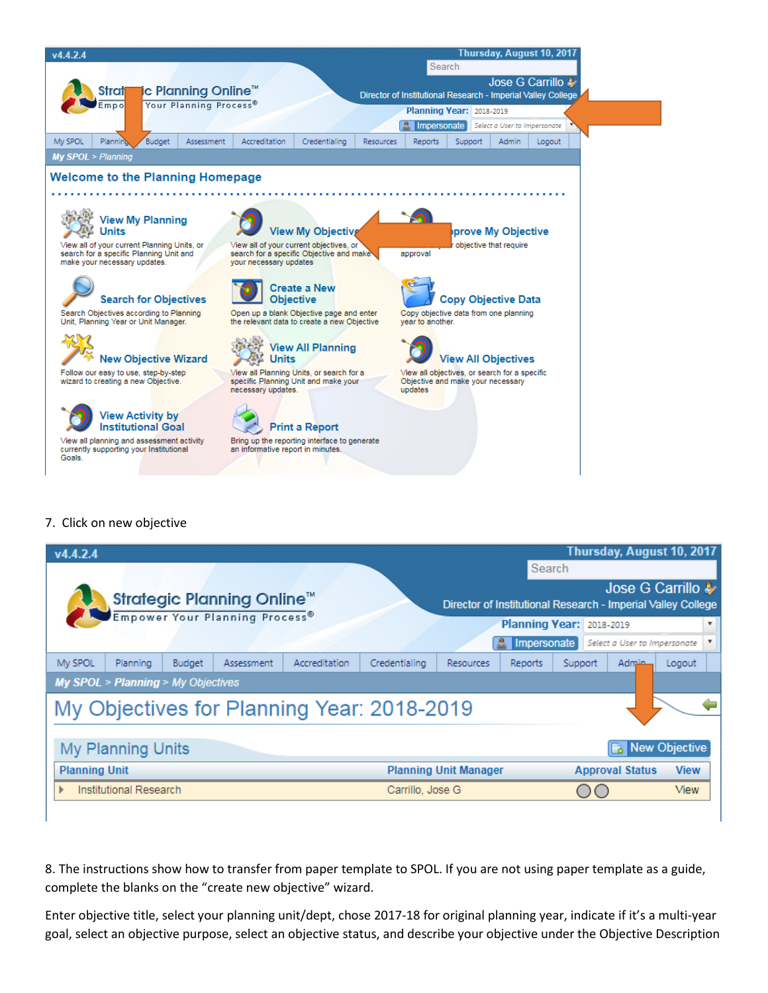

## 7. Click on new objective

ı

| v4.4.2.4             |                                                 |               |                                            |               |                  |                              |             |                                 |                              | Thursday, August 10, 2017                                    |
|----------------------|-------------------------------------------------|---------------|--------------------------------------------|---------------|------------------|------------------------------|-------------|---------------------------------|------------------------------|--------------------------------------------------------------|
|                      |                                                 |               |                                            |               |                  |                              | Search      |                                 |                              | Jose G Carrillo &                                            |
|                      |                                                 |               | <b>Strategic Planning Online™</b>          |               |                  |                              |             |                                 |                              | Director of Institutional Research - Imperial Valley College |
|                      |                                                 |               | Empower Your Planning Process <sup>®</sup> |               |                  |                              |             | <b>Planning Year: 2018-2019</b> |                              | ▼                                                            |
|                      |                                                 |               |                                            |               |                  |                              | Impersonate |                                 | Select a User to Impersonate |                                                              |
| My SPOL              | Planning                                        | <b>Budget</b> | Assessment                                 | Accreditation | Credentialing    | <b>Resources</b>             | Reports     | Support                         | Admin                        | Logout                                                       |
|                      | <b>My SPOL &gt; Planning &gt; My Objectives</b> |               |                                            |               |                  |                              |             |                                 |                              |                                                              |
|                      | My Objectives for Planning Year: 2018-2019      |               |                                            |               |                  |                              |             |                                 |                              |                                                              |
|                      |                                                 |               |                                            |               |                  |                              |             |                                 |                              |                                                              |
|                      | My Planning Units                               |               |                                            |               |                  |                              |             |                                 |                              | New Objective                                                |
| <b>Planning Unit</b> |                                                 |               |                                            |               |                  | <b>Planning Unit Manager</b> |             |                                 | <b>Approval Status</b>       | <b>View</b>                                                  |
|                      | Institutional Research                          |               |                                            |               | Carrillo, Jose G |                              |             |                                 |                              | <b>View</b>                                                  |
|                      |                                                 |               |                                            |               |                  |                              |             |                                 |                              |                                                              |

8. The instructions show how to transfer from paper template to SPOL. If you are not using paper template as a guide, complete the blanks on the "create new objective" wizard.

Enter objective title, select your planning unit/dept, chose 2017-18 for original planning year, indicate if it's a multi-year goal, select an objective purpose, select an objective status, and describe your objective under the Objective Description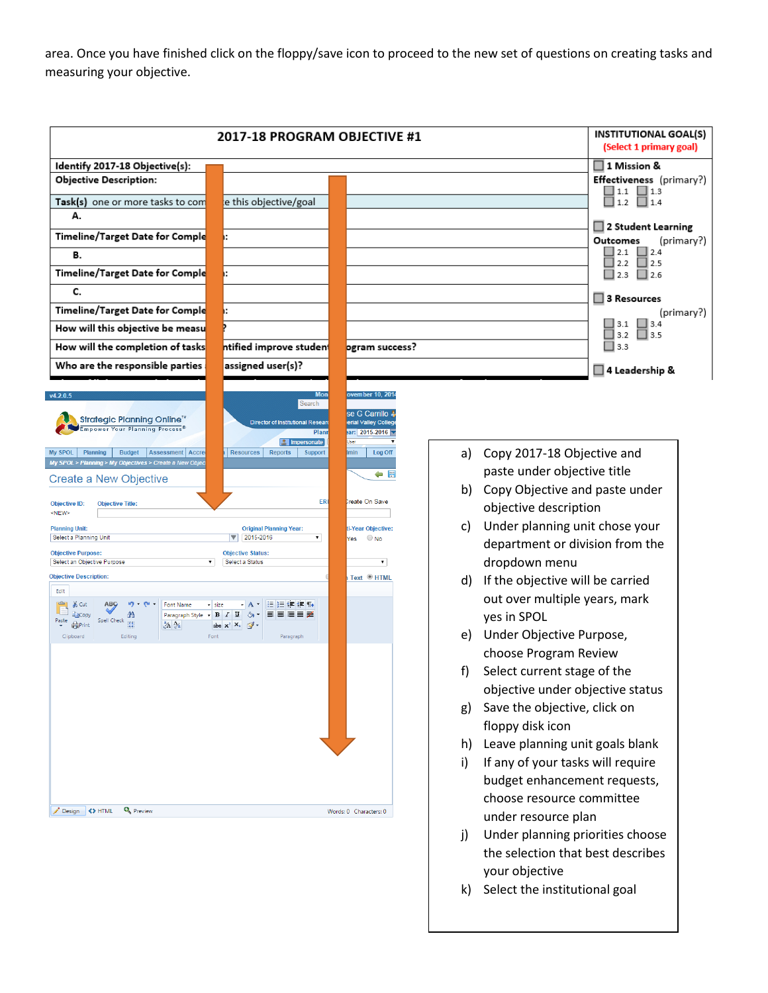area. Once you have finished click on the floppy/save icon to proceed to the new set of questions on creating tasks and measuring your objective.

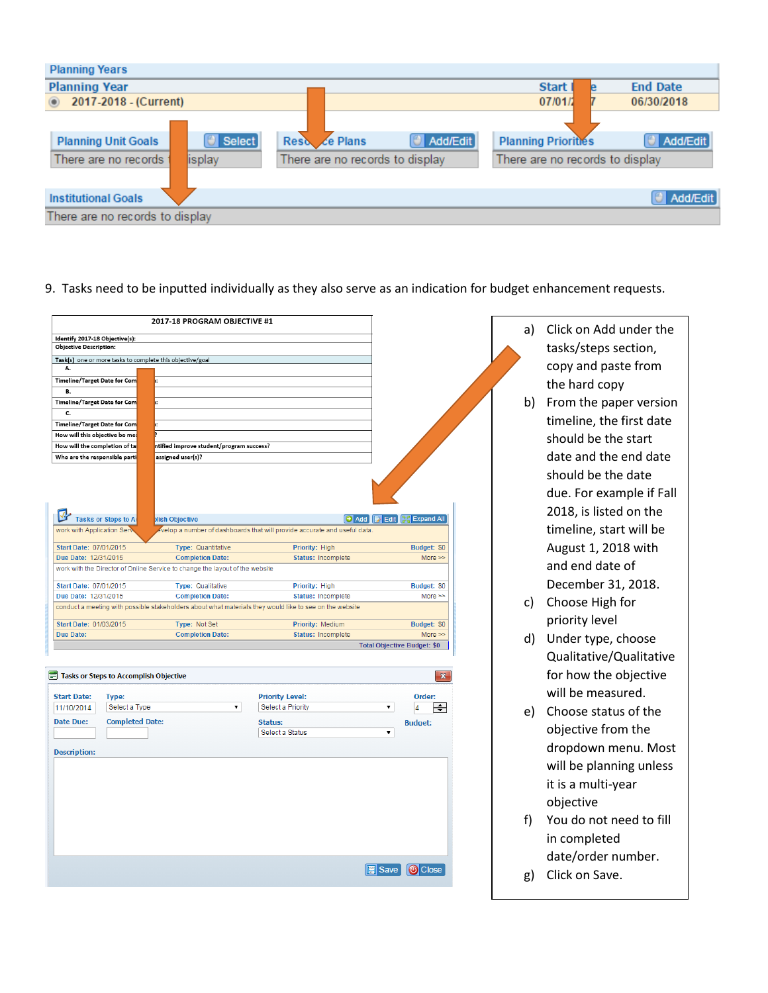| <b>Planning Years</b>                                                            |                                                  |                 |                                                               |                 |
|----------------------------------------------------------------------------------|--------------------------------------------------|-----------------|---------------------------------------------------------------|-----------------|
| <b>Planning Year</b>                                                             |                                                  |                 | <b>Start</b>                                                  | <b>End Date</b> |
| 2017-2018 - (Current)                                                            |                                                  |                 | 07/01/2                                                       | 06/30/2018      |
| $\Box$ Select<br><b>Planning Unit Goals</b><br>There are no records t<br>lisplay | Reso ce Plans<br>There are no records to display | $\Box$ Add/Edit | <b>Planning Priorities</b><br>There are no records to display | $\Box$ Add/Edit |
| <b>Institutional Goals</b>                                                       |                                                  |                 |                                                               | $\Box$ Add/Edit |
| There are no records to display                                                  |                                                  |                 |                                                               |                 |

9. Tasks need to be inputted individually as they also serve as an indication for budget enhancement requests.

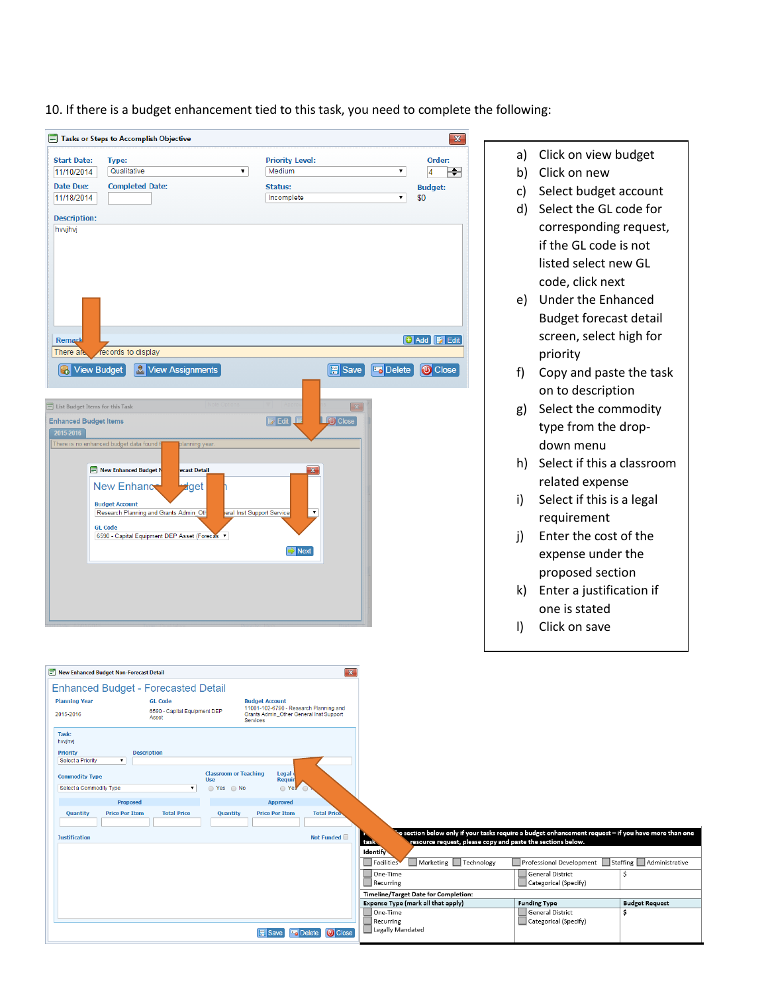10. If there is a budget enhancement tied to this task, you need to complete the following:

| Tasks or Steps to Accomplish Objective                                  |                                         | $\mathbf x$                                |              |                               |
|-------------------------------------------------------------------------|-----------------------------------------|--------------------------------------------|--------------|-------------------------------|
| <b>Start Date:</b><br>Type:                                             | <b>Priority Level:</b>                  | Order:                                     | a)           | Click on view budget          |
| Qualitative<br>$\pmb{\mathrm{v}}$<br>11/10/2014                         | Medium                                  | $\pmb{\mathrm{v}}$<br>$\overline{4}$<br>।≑ | b)           | Click on new                  |
| <b>Date Due:</b><br><b>Completed Date:</b><br>11/18/2014                | <b>Status:</b><br>Incomplete            | <b>Budget:</b><br>\$0<br>۷.                | C)           | Select budget account         |
|                                                                         |                                         |                                            | d)           | Select the GL code for        |
| <b>Description:</b><br>hvvjhvj                                          |                                         |                                            |              | corresponding request,        |
|                                                                         |                                         |                                            |              | if the GL code is not         |
|                                                                         |                                         |                                            |              | listed select new GL          |
|                                                                         |                                         |                                            |              | code, click next              |
|                                                                         |                                         |                                            |              | e) Under the Enhanced         |
|                                                                         |                                         |                                            |              | <b>Budget forecast detail</b> |
| Remark                                                                  |                                         | <b>+</b> Add <b>P</b> Edit                 |              | screen, select high for       |
| ecords to display<br>There ai                                           |                                         |                                            |              | priority                      |
| <b>R</b> View Assignments<br><b>R</b> View Budget                       | $\mathbb{F}$ Save                       | <b><i>Close</i></b><br><b>Delete</b>       | f            | Copy and paste the task       |
|                                                                         |                                         |                                            |              | on to description             |
| E List Budget Items for this Task                                       |                                         |                                            | g)           | Select the commodity          |
| <b>Enhanced Budget Items</b>                                            | <b>D</b> Close<br>$\triangleright$ Edit |                                            |              | type from the drop-           |
| 2015-2016<br>There is no enhanced budget data found f<br>blanning year. |                                         |                                            |              | down menu                     |
|                                                                         |                                         |                                            | h)           | Select if this a classroom    |
| New Enhanced Budget N<br>ecast Detail                                   |                                         |                                            |              | related expense               |
| New Enhance<br><del>⊌</del> get                                         |                                         |                                            | i)           | Select if this is a legal     |
| <b>Budget Account</b><br>Research Planning and Grants Admin_Oth         | eral Inst Support Service               |                                            |              | requirement                   |
| <b>GL Code</b><br>6590 - Capital Equipment DEP Asset (Forecas ▼         |                                         |                                            | $\mathsf{i}$ | Enter the cost of the         |
|                                                                         | Next                                    |                                            |              | expense under the             |
|                                                                         |                                         |                                            |              |                               |
|                                                                         |                                         |                                            |              | proposed section              |
|                                                                         |                                         |                                            | k)           | Enter a justification if      |
|                                                                         |                                         |                                            |              | one is stated                 |
|                                                                         |                                         |                                            | $\mathbf{D}$ | Click on save                 |
|                                                                         |                                         |                                            |              |                               |

| New Enhanced Budget Non-Forecast Detail                                                                                                                           | $\mathbf{x}$                                                                                               |                                                                                                                                                                               |                                                                  |                            |
|-------------------------------------------------------------------------------------------------------------------------------------------------------------------|------------------------------------------------------------------------------------------------------------|-------------------------------------------------------------------------------------------------------------------------------------------------------------------------------|------------------------------------------------------------------|----------------------------|
| <b>Enhanced Budget - Forecasted Detail</b>                                                                                                                        |                                                                                                            |                                                                                                                                                                               |                                                                  |                            |
| <b>Planning Year</b><br><b>GL Code</b><br>6590 - Capital Equipment DEP<br>2015-2016<br>Asset<br><b>Services</b>                                                   | <b>Budget Account</b><br>11001-102-6790 - Research Planning and<br>Grants Admin Other General Inst Support |                                                                                                                                                                               |                                                                  |                            |
| Task:<br>hvvjhvj<br><b>Priority</b><br><b>Description</b>                                                                                                         |                                                                                                            |                                                                                                                                                                               |                                                                  |                            |
| Select a Priority<br>$\mathbf{v}$<br><b>Classroom or Teaching</b><br><b>Commodity Type</b><br><b>Use</b><br>Select a Commodity Type<br>○ Yes ○ No<br>$\mathbf{v}$ | Legal d<br><b>Requir</b><br>O Yes                                                                          |                                                                                                                                                                               |                                                                  |                            |
| Proposed<br><b>Total Price</b><br><b>Price Per Item</b><br>Quantity<br>Quantity                                                                                   | <b>Approved</b><br><b>Total Price</b><br><b>Price Per Item</b>                                             |                                                                                                                                                                               |                                                                  |                            |
| <b>Justification</b>                                                                                                                                              | Not Funded                                                                                                 | e section below only if your tasks require a budget enhancement request – if you have more than one `<br>task.<br>resource request, please copy and paste the sections below. |                                                                  |                            |
|                                                                                                                                                                   |                                                                                                            | Identify<br>Marketing Technology<br>Facilities                                                                                                                                | Professional Development Staffing Administrative                 |                            |
|                                                                                                                                                                   |                                                                                                            | One-Time<br>Recurring                                                                                                                                                         | General District<br>Categorical (Specify)                        | Ś                          |
|                                                                                                                                                                   |                                                                                                            | Timeline/Target Date for Completion:                                                                                                                                          |                                                                  |                            |
|                                                                                                                                                                   | <b>Close</b><br><b>  William</b> Save<br><b>La</b> Delete                                                  | Expense Type (mark all that apply)<br>One-Time<br>Recurring<br>Legally Mandated                                                                                               | <b>Funding Type</b><br>General District<br>Categorical (Specify) | <b>Budget Request</b><br>Ś |
|                                                                                                                                                                   |                                                                                                            |                                                                                                                                                                               |                                                                  |                            |